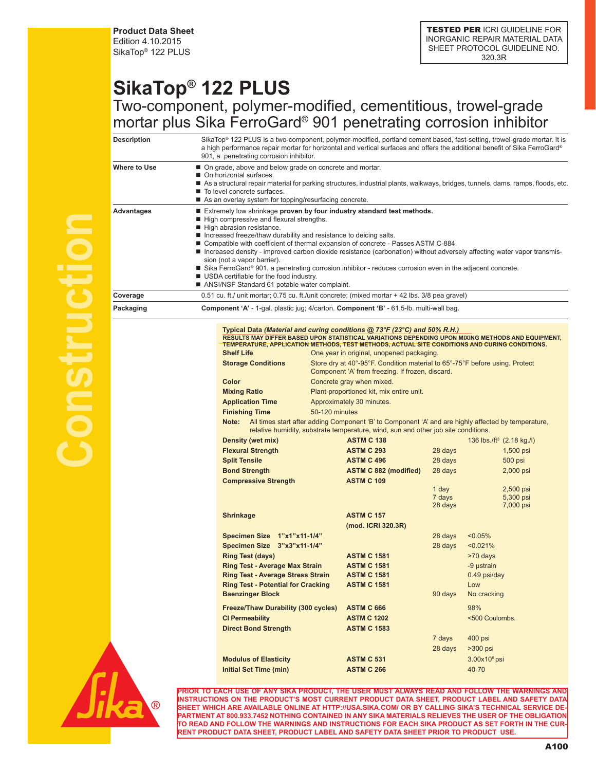**Product Data Sheet** Edition 4.10.2015 SikaTop® 122 PLUS

## **SikaTop® 122 PLUS** Two-component, polymer-modified, cementitious, trowel-grade mortar plus Sika FerroGard® 901 penetrating corrosion inhibitor

| Description  |                                                                                                                                                               | SikaTop® 122 PLUS is a two-component, polymer-modified, portland cement based, fast-setting, trowel-grade mortar. It is                                                                            |                   |                                       |  |  |
|--------------|---------------------------------------------------------------------------------------------------------------------------------------------------------------|----------------------------------------------------------------------------------------------------------------------------------------------------------------------------------------------------|-------------------|---------------------------------------|--|--|
|              |                                                                                                                                                               | a high performance repair mortar for horizontal and vertical surfaces and offers the additional benefit of Sika FerroGard®<br>901, a penetrating corrosion inhibitor.                              |                   |                                       |  |  |
| Where to Use | • On grade, above and below grade on concrete and mortar.                                                                                                     |                                                                                                                                                                                                    |                   |                                       |  |  |
|              | ■ On horizontal surfaces.<br>As a structural repair material for parking structures, industrial plants, walkways, bridges, tunnels, dams, ramps, floods, etc. |                                                                                                                                                                                                    |                   |                                       |  |  |
|              | To level concrete surfaces.                                                                                                                                   |                                                                                                                                                                                                    |                   |                                       |  |  |
|              | As an overlay system for topping/resurfacing concrete.                                                                                                        |                                                                                                                                                                                                    |                   |                                       |  |  |
| Advantages   | Extremely low shrinkage proven by four industry standard test methods.<br>High compressive and flexural strengths.                                            |                                                                                                                                                                                                    |                   |                                       |  |  |
|              | High abrasion resistance.                                                                                                                                     |                                                                                                                                                                                                    |                   |                                       |  |  |
|              | ■ Increased freeze/thaw durability and resistance to deicing salts.                                                                                           | ■ Compatible with coefficient of thermal expansion of concrete - Passes ASTM C-884.                                                                                                                |                   |                                       |  |  |
|              |                                                                                                                                                               | ■ Increased density - improved carbon dioxide resistance (carbonation) without adversely affecting water vapor transmis-                                                                           |                   |                                       |  |  |
|              | sion (not a vapor barrier).                                                                                                                                   |                                                                                                                                                                                                    |                   |                                       |  |  |
|              | USDA certifiable for the food industry.                                                                                                                       | ■ Sika FerroGard® 901, a penetrating corrosion inhibitor - reduces corrosion even in the adjacent concrete.                                                                                        |                   |                                       |  |  |
|              | ANSI/NSF Standard 61 potable water complaint.                                                                                                                 |                                                                                                                                                                                                    |                   |                                       |  |  |
| Coverage     |                                                                                                                                                               | 0.51 cu. ft./ unit mortar; 0.75 cu. ft./unit concrete; (mixed mortar + 42 lbs. 3/8 pea gravel)                                                                                                     |                   |                                       |  |  |
| Packaging    |                                                                                                                                                               | <b>Component 'A'</b> - 1-gal. plastic jug; 4/carton. <b>Component 'B'</b> - 61.5-lb. multi-wall bag.                                                                                               |                   |                                       |  |  |
|              |                                                                                                                                                               | Typical Data (Material and curing conditions @ 73°F (23°C) and 50% R.H.)                                                                                                                           |                   |                                       |  |  |
|              |                                                                                                                                                               | RESULTS MAY DIFFER BASED UPON STATISTICAL VARIATIONS DEPENDING UPON MIXING METHODS AND EQUIPMENT,<br>TEMPERATURE, APPLICATION METHODS, TEST METHODS, ACTUAL SITE CONDITIONS AND CURING CONDITIONS. |                   |                                       |  |  |
|              | <b>Shelf Life</b>                                                                                                                                             | One year in original, unopened packaging.                                                                                                                                                          |                   |                                       |  |  |
|              | <b>Storage Conditions</b>                                                                                                                                     | Store dry at 40°-95°F. Condition material to 65°-75°F before using. Protect                                                                                                                        |                   |                                       |  |  |
|              |                                                                                                                                                               | Component 'A' from freezing. If frozen, discard.                                                                                                                                                   |                   |                                       |  |  |
|              | Color                                                                                                                                                         | Concrete gray when mixed.                                                                                                                                                                          |                   |                                       |  |  |
|              | <b>Mixing Ratio</b>                                                                                                                                           | Plant-proportioned kit, mix entire unit.                                                                                                                                                           |                   |                                       |  |  |
|              | <b>Application Time</b>                                                                                                                                       | Approximately 30 minutes.                                                                                                                                                                          |                   |                                       |  |  |
|              | <b>Finishing Time</b>                                                                                                                                         | 50-120 minutes                                                                                                                                                                                     |                   |                                       |  |  |
|              |                                                                                                                                                               | Note: All times start after adding Component 'B' to Component 'A' and are highly affected by temperature,<br>relative humidity, substrate temperature, wind, sun and other job site conditions.    |                   |                                       |  |  |
|              | Density (wet mix)                                                                                                                                             | <b>ASTM C 138</b>                                                                                                                                                                                  |                   | 136 lbs./ft <sup>3</sup> (2.18 kg./l) |  |  |
|              | <b>Flexural Strength</b>                                                                                                                                      | <b>ASTM C 293</b>                                                                                                                                                                                  | 28 days           | $1,500$ psi                           |  |  |
|              | <b>Split Tensile</b>                                                                                                                                          | <b>ASTM C 496</b>                                                                                                                                                                                  | 28 days           | 500 psi                               |  |  |
|              | <b>Bond Strength</b>                                                                                                                                          | <b>ASTM C 882 (modified)</b>                                                                                                                                                                       | 28 days           | 2,000 psi                             |  |  |
|              | <b>Compressive Strength</b>                                                                                                                                   | <b>ASTM C 109</b>                                                                                                                                                                                  |                   |                                       |  |  |
|              |                                                                                                                                                               |                                                                                                                                                                                                    | 1 day             | 2,500 psi                             |  |  |
|              |                                                                                                                                                               |                                                                                                                                                                                                    | 7 days<br>28 days | 5,300 psi<br>7,000 psi                |  |  |
|              | <b>Shrinkage</b>                                                                                                                                              | <b>ASTM C 157</b>                                                                                                                                                                                  |                   |                                       |  |  |
|              |                                                                                                                                                               | (mod. ICRI 320.3R)                                                                                                                                                                                 |                   |                                       |  |  |
|              | Specimen Size 1"x1"x11-1/4"                                                                                                                                   |                                                                                                                                                                                                    | 28 days           | $< 0.05\%$                            |  |  |
|              | Specimen Size 3"x3"x11-1/4"                                                                                                                                   |                                                                                                                                                                                                    | 28 days           | < 0.021%                              |  |  |
|              | <b>Ring Test (days)</b>                                                                                                                                       | <b>ASTM C 1581</b>                                                                                                                                                                                 |                   | >70 days                              |  |  |
|              | <b>Ring Test - Average Max Strain</b>                                                                                                                         | <b>ASTM C 1581</b>                                                                                                                                                                                 |                   | -9 µstrain                            |  |  |
|              | <b>Ring Test - Average Stress Strain</b>                                                                                                                      | <b>ASTM C 1581</b>                                                                                                                                                                                 |                   | 0.49 psi/day                          |  |  |
|              | <b>Ring Test - Potential for Cracking</b>                                                                                                                     | <b>ASTM C 1581</b>                                                                                                                                                                                 |                   | Low                                   |  |  |
|              | <b>Baenzinger Block</b>                                                                                                                                       |                                                                                                                                                                                                    | 90 days           | No cracking                           |  |  |
|              | <b>Freeze/Thaw Durability (300 cycles)</b>                                                                                                                    | <b>ASTM C 666</b>                                                                                                                                                                                  |                   | 98%                                   |  |  |
|              | <b>CI Permeability</b>                                                                                                                                        | <b>ASTM C 1202</b>                                                                                                                                                                                 |                   | <500 Coulombs.                        |  |  |
|              | <b>Direct Bond Strength</b>                                                                                                                                   | <b>ASTM C 1583</b>                                                                                                                                                                                 |                   |                                       |  |  |
|              |                                                                                                                                                               |                                                                                                                                                                                                    | 7 days            | 400 psi                               |  |  |
|              |                                                                                                                                                               |                                                                                                                                                                                                    | 28 days           | $>300$ psi                            |  |  |
|              | <b>Modulus of Elasticity</b>                                                                                                                                  | <b>ASTM C 531</b>                                                                                                                                                                                  |                   | $3.00x106$ psi                        |  |  |
|              | <b>Initial Set Time (min)</b>                                                                                                                                 | <b>ASTM C 266</b>                                                                                                                                                                                  |                   | 40-70                                 |  |  |
|              |                                                                                                                                                               |                                                                                                                                                                                                    |                   |                                       |  |  |



**PRODUCT, THE USER MUST ALWAYS READ AND FOLLOW THE WARNINGS INSTRUCTIONS ON THE PRODUCT'S MOST CURRENT PRODUCT DATA SHEET, PRODUCT LABEL AND SAFETY DATA SHEET WHICH ARE AVAILABLE ONLINE AT HTTP://USA.SIKA.COM/ OR BY CALLING SIKA'S TECHNICAL SERVICE DE-PARTMENT AT 800.933.7452 NOTHING CONTAINED IN ANY SIKA MATERIALS RELIEVES THE USER OF THE OBLIGATION TO READ AND FOLLOW THE WARNINGS AND INSTRUCTIONS FOR EACH SIKA PRODUCT AS SET FORTH IN THE CUR-RENT PRODUCT DATA SHEET, PRODUCT LABEL AND SAFETY DATA SHEET PRIOR TO PRODUCT USE.**